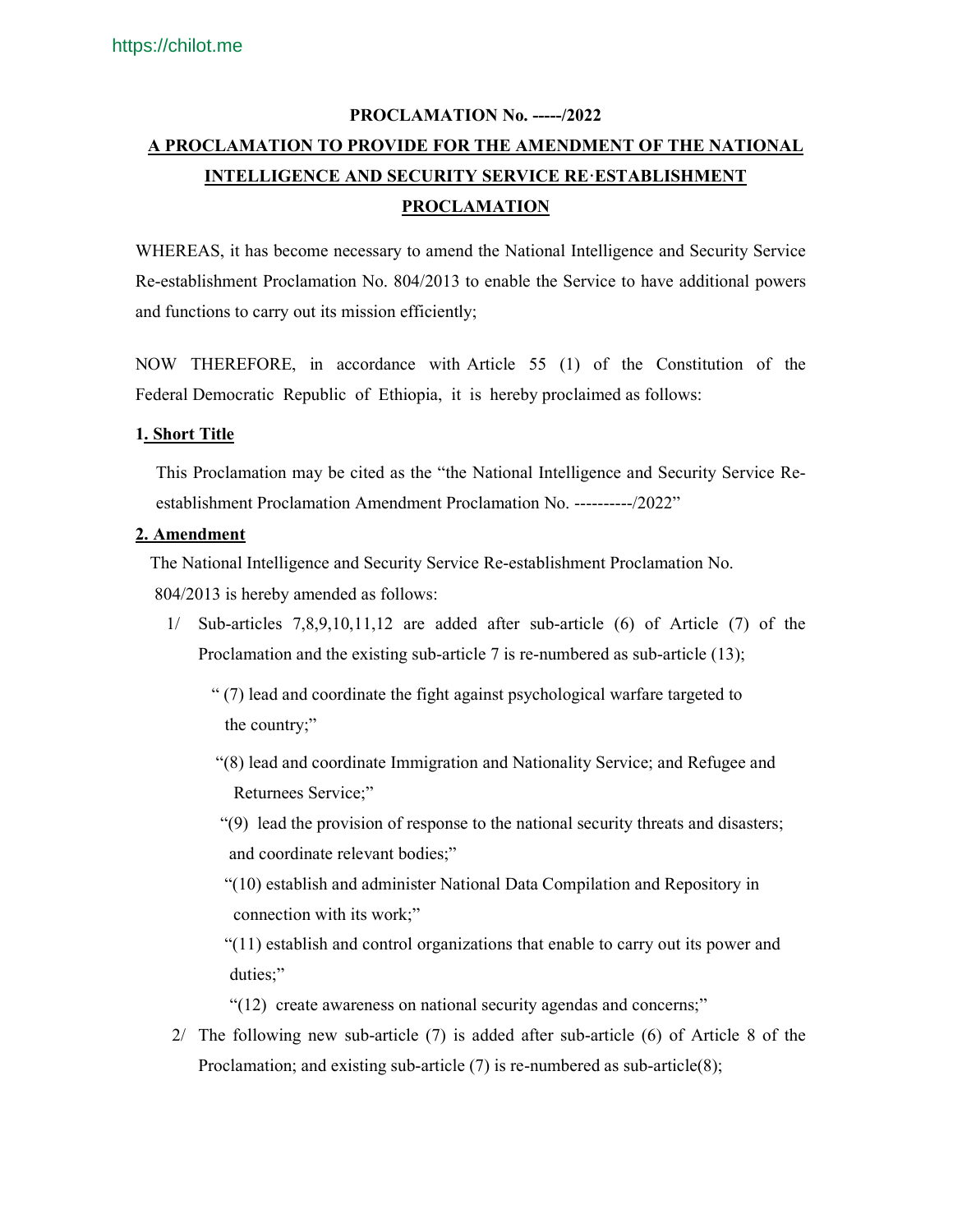# **PROCLAMATION No. -----/2022 A PROCLAMATION TO PROVIDE FOR THE AMENDMENT OF THE NATIONAL INTELLIGENCE AND SECURITY SERVICE RE·ESTABLISHMENT PROCLAMATION**

WHEREAS, it has become necessary to amend the National Intelligence and Security Service Re-establishment Proclamation No. 804/2013 to enable the Service to have additional powers and functions to carry out its mission efficiently;

NOW THEREFORE, in accordance with Article 55 (1) of the Constitution of the Federal Democratic Republic of Ethiopia, it is hereby proclaimed as follows:

## **1. Short Title**

This Proclamation may be cited as the "the National Intelligence and Security Service Reestablishment Proclamation Amendment Proclamation No. ----------/2022"

### **2. Amendment**

 The National Intelligence and Security Service Re-establishment Proclamation No. 804/2013 is hereby amended as follows:

- 1/ Sub-articles 7,8,9,10,11,12 are added after sub-article (6) of Article (7) of the Proclamation and the existing sub-article 7 is re-numbered as sub-article (13);
	- " (7) lead and coordinate the fight against psychological warfare targeted to the country;"
	- "(8) lead and coordinate Immigration and Nationality Service; and Refugee and Returnees Service;"
	- "(9) lead the provision of response to the national security threats and disasters; and coordinate relevant bodies;"
	- "(10) establish and administer National Data Compilation and Repository in connection with its work;"
	- "(11) establish and control organizations that enable to carry out its power and duties;"
	- "(12) create awareness on national security agendas and concerns;"
- 2/ The following new sub-article (7) is added after sub-article (6) of Article 8 of the Proclamation; and existing sub-article (7) is re-numbered as sub-article(8);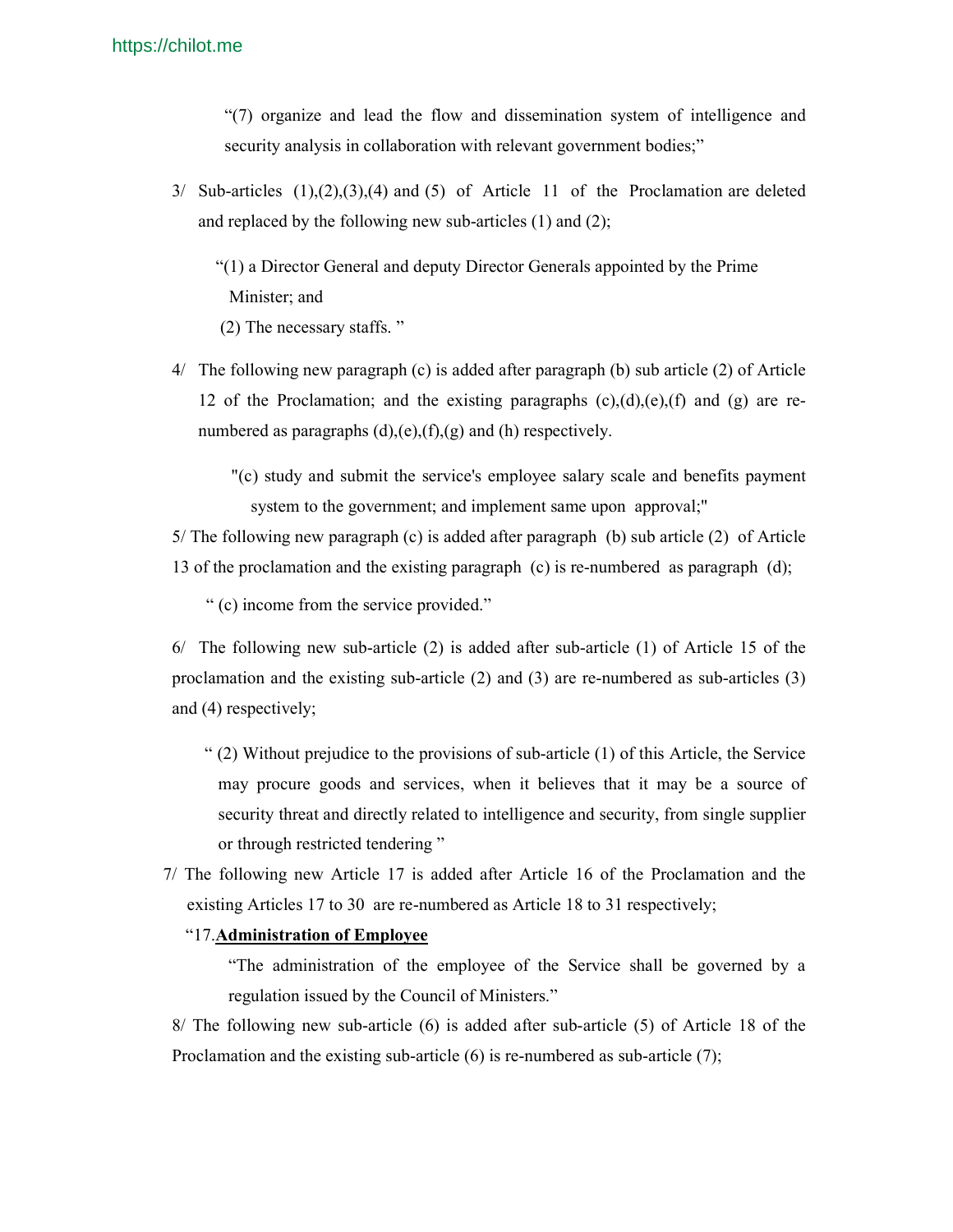"(7) organize and lead the flow and dissemination system of intelligence and security analysis in collaboration with relevant government bodies;"

 $3/$  Sub-articles  $(1),(2),(3),(4)$  and  $(5)$  of Article 11 of the Proclamation are deleted and replaced by the following new sub-articles (1) and (2);

 "(1) a Director General and deputy Director Generals appointed by the Prime Minister; and (2) The necessary staffs. "

- 4/ The following new paragraph (c) is added after paragraph (b) sub article (2) of Article 12 of the Proclamation; and the existing paragraphs  $(c)$ , $(d)$ , $(e)$ , $(f)$  and  $(g)$  are renumbered as paragraphs  $(d)$ ,(e),(f),(g) and (h) respectively.
	- "(c) study and submit the service's employee salary scale and benefits payment system to the government; and implement same upon approval;"

5/ The following new paragraph (c) is added after paragraph (b) sub article (2) of Article 13 of the proclamation and the existing paragraph (c) is re-numbered as paragraph (d);

" (c) income from the service provided."

6/ The following new sub-article (2) is added after sub-article (1) of Article 15 of the proclamation and the existing sub-article (2) and (3) are re-numbered as sub-articles (3) and (4) respectively;

- " (2) Without prejudice to the provisions of sub-article (1) of this Article, the Service may procure goods and services, when it believes that it may be a source of security threat and directly related to intelligence and security, from single supplier or through restricted tendering"
- 7/ The following new Article 17 is added after Article 16 of the Proclamation and the existing Articles 17 to 30 are re-numbered as Article 18 to 31 respectively;

### "17.**Administration of Employee**

"The administration of the employee of the Service shall be governed by a regulation issued by the Council of Ministers."

8/ The following new sub-article (6) is added after sub-article (5) of Article 18 of the Proclamation and the existing sub-article (6) is re-numbered as sub-article (7);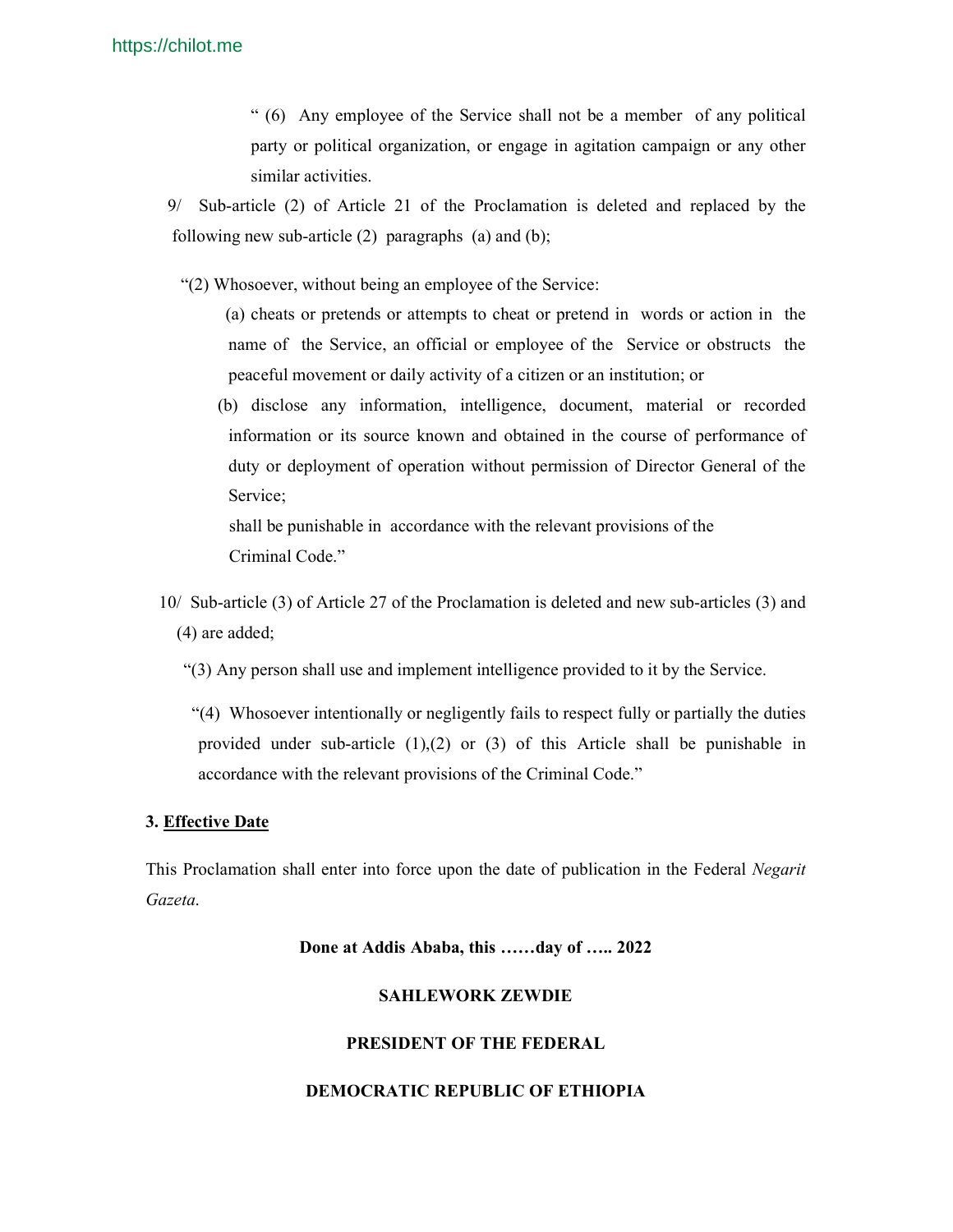" (6) Any employee of the Service shall not be a member of any political party or political organization, or engage in agitation campaign or any other similar activities.

 9/ Sub-article (2) of Article 21 of the Proclamation is deleted and replaced by the following new sub-article (2) paragraphs (a) and (b);

"(2) Whosoever, without being an employee of the Service:

 (a) cheats or pretends or attempts to cheat or pretend in words or action in the name of the Service, an official or employee of the Service or obstructs the peaceful movement or daily activity of a citizen or an institution; or

 (b) disclose any information, intelligence, document, material or recorded information or its source known and obtained in the course of performance of duty or deployment of operation without permission of Director General of the Service;

 shall be punishable in accordance with the relevant provisions of the Criminal Code."

 10/ Sub-article (3) of Article 27 of the Proclamation is deleted and new sub-articles (3) and (4) are added;

"(3) Any person shall use and implement intelligence provided to it by the Service.

 "(4) Whosoever intentionally or negligently fails to respect fully or partially the duties provided under sub-article (1),(2) or (3) of this Article shall be punishable in accordance with the relevant provisions of the Criminal Code."

### **3. Effective Date**

This Proclamation shall enter into force upon the date of publication in the Federal *Negarit Gazeta*.

**Done at Addis Ababa, this ……day of ….. 2022** 

### **SAHLEWORK ZEWDIE**

#### **PRESIDENT OF THE FEDERAL**

#### **DEMOCRATIC REPUBLIC OF ETHIOPIA**